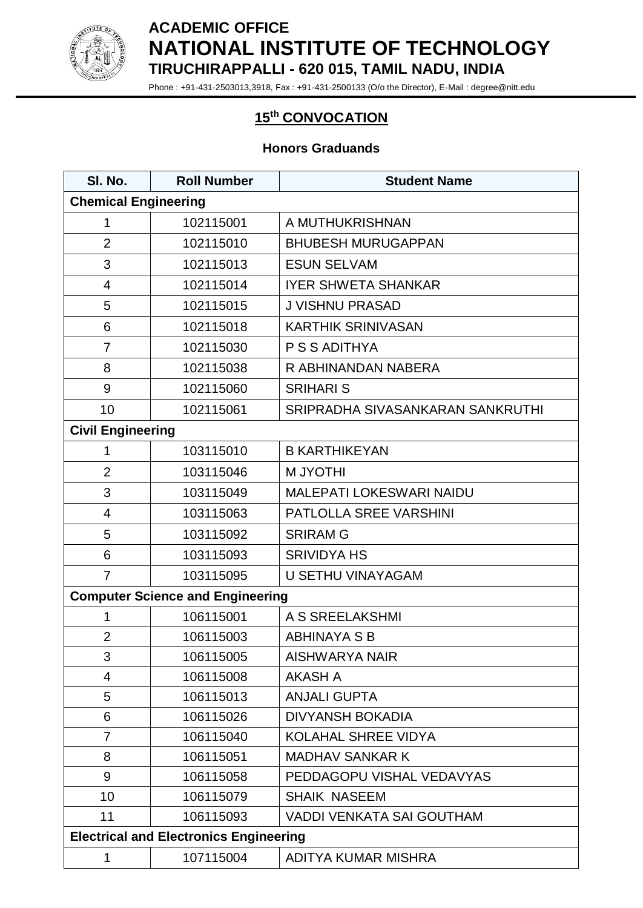

## **ACADEMIC OFFICE NATIONAL INSTITUTE OF TECHNOLOGY TIRUCHIRAPPALLI - 620 015, TAMIL NADU, INDIA**

Phone : +91-431-2503013,3918, Fax : +91-431-2500133 (O/o the Director), E-Mail : degree@nitt.edu

## **th CONVOCATION**

## **Honors Graduands**

| SI. No.                                       | <b>Roll Number</b> | <b>Student Name</b>              |  |  |
|-----------------------------------------------|--------------------|----------------------------------|--|--|
| <b>Chemical Engineering</b>                   |                    |                                  |  |  |
| 1                                             | 102115001          | A MUTHUKRISHNAN                  |  |  |
| $\overline{2}$                                | 102115010          | <b>BHUBESH MURUGAPPAN</b>        |  |  |
| 3                                             | 102115013          | <b>ESUN SELVAM</b>               |  |  |
| 4                                             | 102115014          | <b>IYER SHWETA SHANKAR</b>       |  |  |
| 5                                             | 102115015          | <b>J VISHNU PRASAD</b>           |  |  |
| 6                                             | 102115018          | <b>KARTHIK SRINIVASAN</b>        |  |  |
| $\overline{7}$                                | 102115030          | P S S ADITHYA                    |  |  |
| 8                                             | 102115038          | R ABHINANDAN NABERA              |  |  |
| 9                                             | 102115060          | <b>SRIHARI S</b>                 |  |  |
| 10                                            | 102115061          | SRIPRADHA SIVASANKARAN SANKRUTHI |  |  |
| <b>Civil Engineering</b>                      |                    |                                  |  |  |
| 1                                             | 103115010          | <b>B KARTHIKEYAN</b>             |  |  |
| $\overline{2}$                                | 103115046          | <b>M JYOTHI</b>                  |  |  |
| 3                                             | 103115049          | <b>MALEPATI LOKESWARI NAIDU</b>  |  |  |
| $\overline{4}$                                | 103115063          | PATLOLLA SREE VARSHINI           |  |  |
| 5                                             | 103115092          | <b>SRIRAM G</b>                  |  |  |
| 6                                             | 103115093          | <b>SRIVIDYA HS</b>               |  |  |
| $\overline{7}$                                | 103115095          | <b>U SETHU VINAYAGAM</b>         |  |  |
| <b>Computer Science and Engineering</b>       |                    |                                  |  |  |
| 1                                             | 106115001          | A S SREELAKSHMI                  |  |  |
| $\overline{2}$                                | 106115003          | <b>ABHINAYA S B</b>              |  |  |
| 3                                             | 106115005          | <b>AISHWARYA NAIR</b>            |  |  |
| 4                                             | 106115008          | <b>AKASH A</b>                   |  |  |
| 5                                             | 106115013          | <b>ANJALI GUPTA</b>              |  |  |
| 6                                             | 106115026          | <b>DIVYANSH BOKADIA</b>          |  |  |
| $\overline{7}$                                | 106115040          | <b>KOLAHAL SHREE VIDYA</b>       |  |  |
| 8                                             | 106115051          | <b>MADHAV SANKAR K</b>           |  |  |
| 9                                             | 106115058          | PEDDAGOPU VISHAL VEDAVYAS        |  |  |
| 10                                            | 106115079          | <b>SHAIK NASEEM</b>              |  |  |
| 11                                            | 106115093          | <b>VADDI VENKATA SAI GOUTHAM</b> |  |  |
| <b>Electrical and Electronics Engineering</b> |                    |                                  |  |  |
| 1                                             | 107115004          | ADITYA KUMAR MISHRA              |  |  |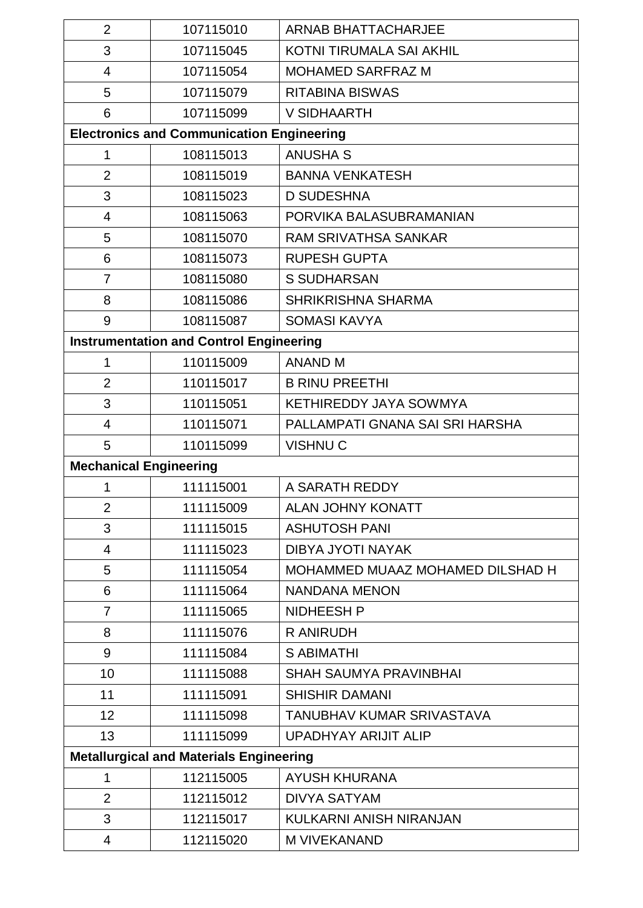| $\overline{2}$                                 | 107115010                                        | <b>ARNAB BHATTACHARJEE</b>       |  |  |
|------------------------------------------------|--------------------------------------------------|----------------------------------|--|--|
| 3                                              | 107115045                                        | KOTNI TIRUMALA SAI AKHIL         |  |  |
| $\overline{4}$                                 | 107115054                                        | <b>MOHAMED SARFRAZ M</b>         |  |  |
| 5                                              | 107115079                                        | <b>RITABINA BISWAS</b>           |  |  |
| 6                                              | 107115099                                        | V SIDHAARTH                      |  |  |
|                                                | <b>Electronics and Communication Engineering</b> |                                  |  |  |
| 1                                              | 108115013                                        | <b>ANUSHA S</b>                  |  |  |
| $\overline{2}$                                 | 108115019                                        | <b>BANNA VENKATESH</b>           |  |  |
| 3                                              | 108115023                                        | <b>D SUDESHNA</b>                |  |  |
| 4                                              | 108115063                                        | PORVIKA BALASUBRAMANIAN          |  |  |
| 5                                              | 108115070                                        | <b>RAM SRIVATHSA SANKAR</b>      |  |  |
| 6                                              | 108115073                                        | <b>RUPESH GUPTA</b>              |  |  |
| $\overline{7}$                                 | 108115080                                        | <b>S SUDHARSAN</b>               |  |  |
| 8                                              | 108115086                                        | <b>SHRIKRISHNA SHARMA</b>        |  |  |
| 9                                              | 108115087                                        | <b>SOMASI KAVYA</b>              |  |  |
| <b>Instrumentation and Control Engineering</b> |                                                  |                                  |  |  |
| 1                                              | 110115009                                        | <b>ANAND M</b>                   |  |  |
| $\overline{2}$                                 | 110115017                                        | <b>B RINU PREETHI</b>            |  |  |
| 3                                              | 110115051                                        | KETHIREDDY JAYA SOWMYA           |  |  |
| $\overline{4}$                                 | 110115071                                        | PALLAMPATI GNANA SAI SRI HARSHA  |  |  |
| 5                                              | 110115099                                        | <b>VISHNUC</b>                   |  |  |
| <b>Mechanical Engineering</b>                  |                                                  |                                  |  |  |
| 1                                              | 111115001                                        | A SARATH REDDY                   |  |  |
| $\overline{2}$                                 | 111115009                                        | <b>ALAN JOHNY KONATT</b>         |  |  |
| 3                                              | 111115015                                        | <b>ASHUTOSH PANI</b>             |  |  |
| 4                                              | 111115023                                        | DIBYA JYOTI NAYAK                |  |  |
| 5                                              | 111115054                                        | MOHAMMED MUAAZ MOHAMED DILSHAD H |  |  |
| 6                                              | 111115064                                        | NANDANA MENON                    |  |  |
| $\overline{7}$                                 | 111115065                                        | <b>NIDHEESH P</b>                |  |  |
| 8                                              | 111115076                                        | <b>R ANIRUDH</b>                 |  |  |
| 9                                              | 111115084                                        | <b>S ABIMATHI</b>                |  |  |
| 10                                             | 111115088                                        | <b>SHAH SAUMYA PRAVINBHAI</b>    |  |  |
| 11                                             | 111115091                                        | <b>SHISHIR DAMANI</b>            |  |  |
| 12                                             | 111115098                                        | TANUBHAV KUMAR SRIVASTAVA        |  |  |
| 13                                             | 111115099                                        | <b>UPADHYAY ARIJIT ALIP</b>      |  |  |
| <b>Metallurgical and Materials Engineering</b> |                                                  |                                  |  |  |
| 1                                              | 112115005                                        | <b>AYUSH KHURANA</b>             |  |  |
| 2                                              | 112115012                                        | <b>DIVYA SATYAM</b>              |  |  |
| 3                                              | 112115017                                        | KULKARNI ANISH NIRANJAN          |  |  |
| 4                                              | 112115020                                        | <b>M VIVEKANAND</b>              |  |  |